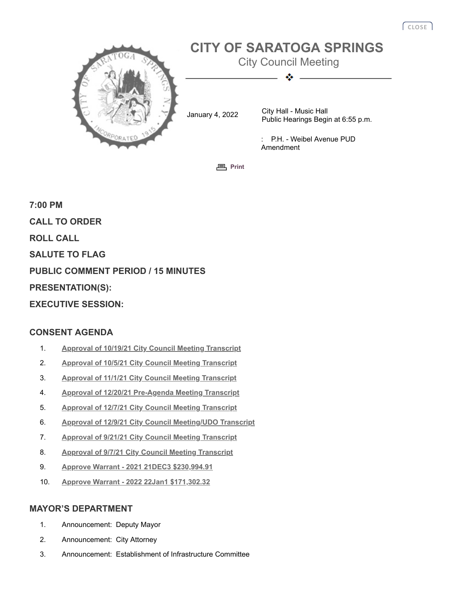

**<sub>[Print](javascript:history.go(0);)</sub>** 

**7:00 PM CALL TO ORDER ROLL CALL SALUTE TO FLAG PUBLIC COMMENT PERIOD / 15 MINUTES PRESENTATION(S): EXECUTIVE SESSION:**

# **CONSENT AGENDA**

- 1. **[Approval of 10/19/21 City Council Meeting Transcript](http://agenda.saratoga-springs.org/agendainternal/Bluesheet.aspx?ItemID=18252&MeetingID=1551)**
- 2. **[Approval of 10/5/21 City Council Meeting Transcript](http://agenda.saratoga-springs.org/agendainternal/Bluesheet.aspx?ItemID=18251&MeetingID=1551)**
- 3. **[Approval of 11/1/21 City Council Meeting Transcript](http://agenda.saratoga-springs.org/agendainternal/Bluesheet.aspx?ItemID=18253&MeetingID=1551)**
- 4. **[Approval of 12/20/21 Pre-Agenda Meeting Transcript](http://agenda.saratoga-springs.org/agendainternal/Bluesheet.aspx?ItemID=18256&MeetingID=1551)**
- 5. **[Approval of 12/7/21 City Council Meeting Transcript](http://agenda.saratoga-springs.org/agendainternal/Bluesheet.aspx?ItemID=18255&MeetingID=1551)**
- 6. **[Approval of 12/9/21 City Council Meeting/UDO Transcript](http://agenda.saratoga-springs.org/agendainternal/Bluesheet.aspx?ItemID=18254&MeetingID=1551)**
- 7. **[Approval of 9/21/21 City Council Meeting Transcript](http://agenda.saratoga-springs.org/agendainternal/Bluesheet.aspx?ItemID=18250&MeetingID=1551)**
- 8. **[Approval of 9/7/21 City Council Meeting Transcript](http://agenda.saratoga-springs.org/agendainternal/Bluesheet.aspx?ItemID=18249&MeetingID=1551)**
- 9. **[Approve Warrant 2021 21DEC3 \\$230,994.91](http://agenda.saratoga-springs.org/agendainternal/Bluesheet.aspx?ItemID=18246&MeetingID=1551)**
- 10. **[Approve Warrant 2022 22Jan1 \\$171,302.32](http://agenda.saratoga-springs.org/agendainternal/Bluesheet.aspx?ItemID=18245&MeetingID=1551)**

#### **MAYOR'S DEPARTMENT**

- 1. Announcement: Deputy Mayor
- 2. Announcement: City Attorney
- 3. Announcement: Establishment of Infrastructure Committee